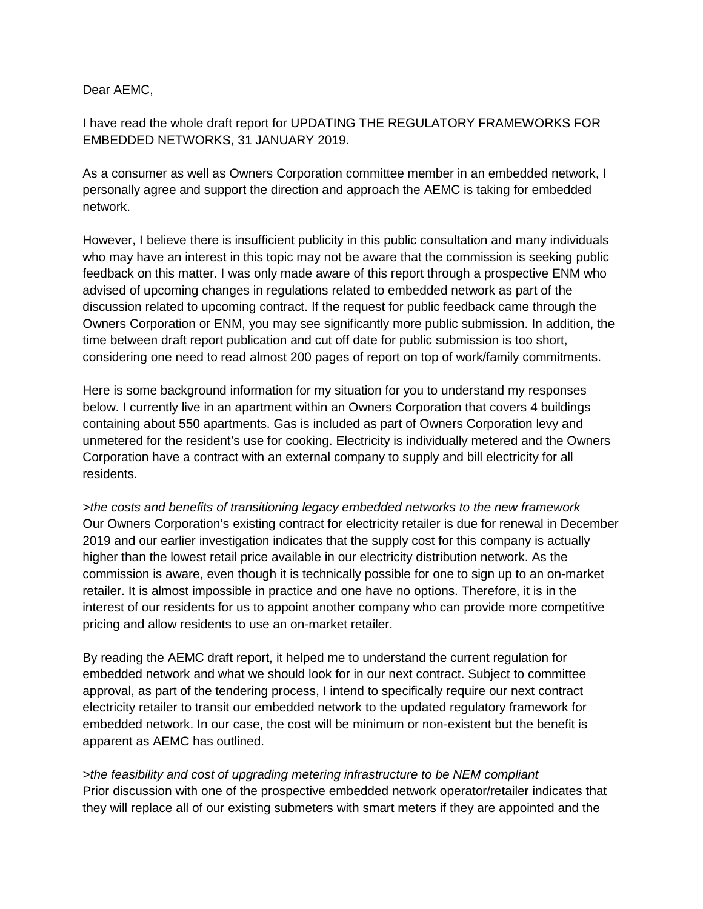Dear AEMC,

I have read the whole draft report for UPDATING THE REGULATORY FRAMEWORKS FOR EMBEDDED NETWORKS, 31 JANUARY 2019.

As a consumer as well as Owners Corporation committee member in an embedded network, I personally agree and support the direction and approach the AEMC is taking for embedded network.

However, I believe there is insufficient publicity in this public consultation and many individuals who may have an interest in this topic may not be aware that the commission is seeking public feedback on this matter. I was only made aware of this report through a prospective ENM who advised of upcoming changes in regulations related to embedded network as part of the discussion related to upcoming contract. If the request for public feedback came through the Owners Corporation or ENM, you may see significantly more public submission. In addition, the time between draft report publication and cut off date for public submission is too short, considering one need to read almost 200 pages of report on top of work/family commitments.

Here is some background information for my situation for you to understand my responses below. I currently live in an apartment within an Owners Corporation that covers 4 buildings containing about 550 apartments. Gas is included as part of Owners Corporation levy and unmetered for the resident's use for cooking. Electricity is individually metered and the Owners Corporation have a contract with an external company to supply and bill electricity for all residents.

*>the costs and benefits of transitioning legacy embedded networks to the new framework* Our Owners Corporation's existing contract for electricity retailer is due for renewal in December 2019 and our earlier investigation indicates that the supply cost for this company is actually higher than the lowest retail price available in our electricity distribution network. As the commission is aware, even though it is technically possible for one to sign up to an on-market retailer. It is almost impossible in practice and one have no options. Therefore, it is in the interest of our residents for us to appoint another company who can provide more competitive pricing and allow residents to use an on-market retailer.

By reading the AEMC draft report, it helped me to understand the current regulation for embedded network and what we should look for in our next contract. Subject to committee approval, as part of the tendering process, I intend to specifically require our next contract electricity retailer to transit our embedded network to the updated regulatory framework for embedded network. In our case, the cost will be minimum or non-existent but the benefit is apparent as AEMC has outlined.

*>the feasibility and cost of upgrading metering infrastructure to be NEM compliant* Prior discussion with one of the prospective embedded network operator/retailer indicates that they will replace all of our existing submeters with smart meters if they are appointed and the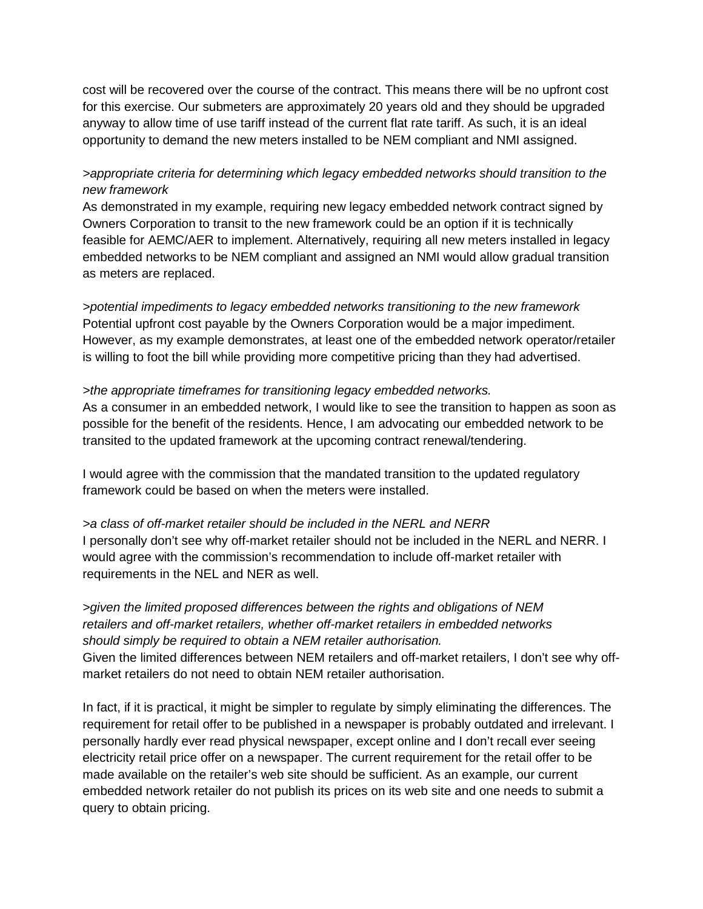cost will be recovered over the course of the contract. This means there will be no upfront cost for this exercise. Our submeters are approximately 20 years old and they should be upgraded anyway to allow time of use tariff instead of the current flat rate tariff. As such, it is an ideal opportunity to demand the new meters installed to be NEM compliant and NMI assigned.

## *>appropriate criteria for determining which legacy embedded networks should transition to the new framework*

As demonstrated in my example, requiring new legacy embedded network contract signed by Owners Corporation to transit to the new framework could be an option if it is technically feasible for AEMC/AER to implement. Alternatively, requiring all new meters installed in legacy embedded networks to be NEM compliant and assigned an NMI would allow gradual transition as meters are replaced.

*>potential impediments to legacy embedded networks transitioning to the new framework* Potential upfront cost payable by the Owners Corporation would be a major impediment. However, as my example demonstrates, at least one of the embedded network operator/retailer is willing to foot the bill while providing more competitive pricing than they had advertised.

## *>the appropriate timeframes for transitioning legacy embedded networks.*

As a consumer in an embedded network, I would like to see the transition to happen as soon as possible for the benefit of the residents. Hence, I am advocating our embedded network to be transited to the updated framework at the upcoming contract renewal/tendering.

I would agree with the commission that the mandated transition to the updated regulatory framework could be based on when the meters were installed.

*>a class of off-market retailer should be included in the NERL and NERR* I personally don't see why off-market retailer should not be included in the NERL and NERR. I would agree with the commission's recommendation to include off-market retailer with requirements in the NEL and NER as well.

*>given the limited proposed differences between the rights and obligations of NEM retailers and off-market retailers, whether off-market retailers in embedded networks should simply be required to obtain a NEM retailer authorisation.* Given the limited differences between NEM retailers and off-market retailers, I don't see why offmarket retailers do not need to obtain NEM retailer authorisation.

In fact, if it is practical, it might be simpler to regulate by simply eliminating the differences. The requirement for retail offer to be published in a newspaper is probably outdated and irrelevant. I personally hardly ever read physical newspaper, except online and I don't recall ever seeing electricity retail price offer on a newspaper. The current requirement for the retail offer to be made available on the retailer's web site should be sufficient. As an example, our current embedded network retailer do not publish its prices on its web site and one needs to submit a query to obtain pricing.